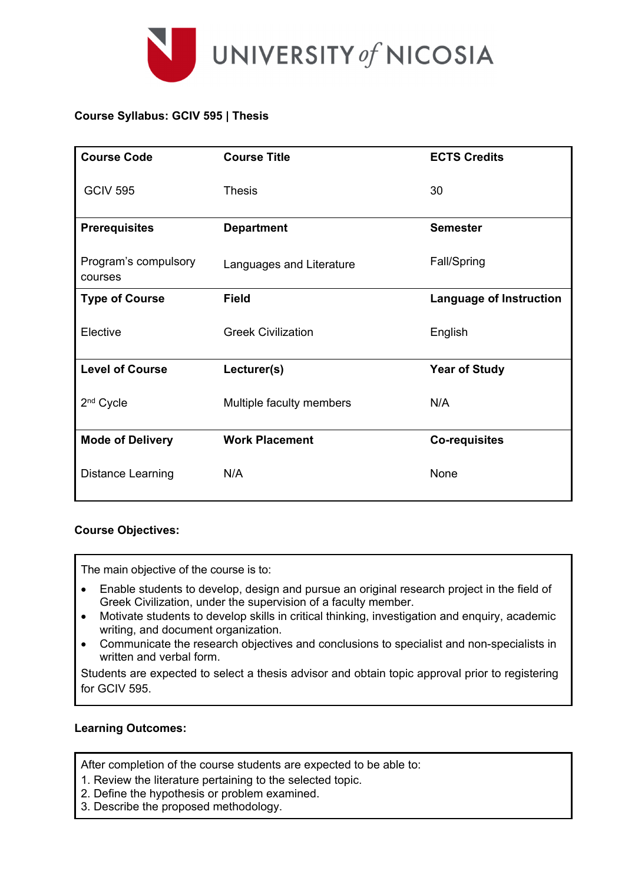

# **Course Syllabus: GCIV 595 | Thesis**

| <b>Course Code</b>              | <b>Course Title</b>       | <b>ECTS Credits</b>            |  |
|---------------------------------|---------------------------|--------------------------------|--|
| <b>GCIV 595</b>                 | <b>Thesis</b>             | 30                             |  |
| <b>Prerequisites</b>            | <b>Department</b>         | <b>Semester</b>                |  |
| Program's compulsory<br>courses | Languages and Literature  | Fall/Spring                    |  |
| <b>Type of Course</b>           | <b>Field</b>              | <b>Language of Instruction</b> |  |
| Elective                        | <b>Greek Civilization</b> | English                        |  |
| <b>Level of Course</b>          | Lecturer(s)               | <b>Year of Study</b>           |  |
| 2 <sup>nd</sup> Cycle           | Multiple faculty members  | N/A                            |  |
| <b>Mode of Delivery</b>         | <b>Work Placement</b>     | <b>Co-requisites</b>           |  |
| <b>Distance Learning</b>        | N/A                       | None                           |  |

### **Course Objectives:**

The main objective of the course is to:

- Enable students to develop, design and pursue an original research project in the field of Greek Civilization, under the supervision of a faculty member.
- Motivate students to develop skills in critical thinking, investigation and enquiry, academic writing, and document organization.
- Communicate the research objectives and conclusions to specialist and non-specialists in written and verbal form.

Students are expected to select a thesis advisor and obtain topic approval prior to registering for GCIV 595.

### **Learning Outcomes:**

After completion of the course students are expected to be able to:

- 1. Review the literature pertaining to the selected topic.
- 2. Define the hypothesis or problem examined.
- 3. Describe the proposed methodology.